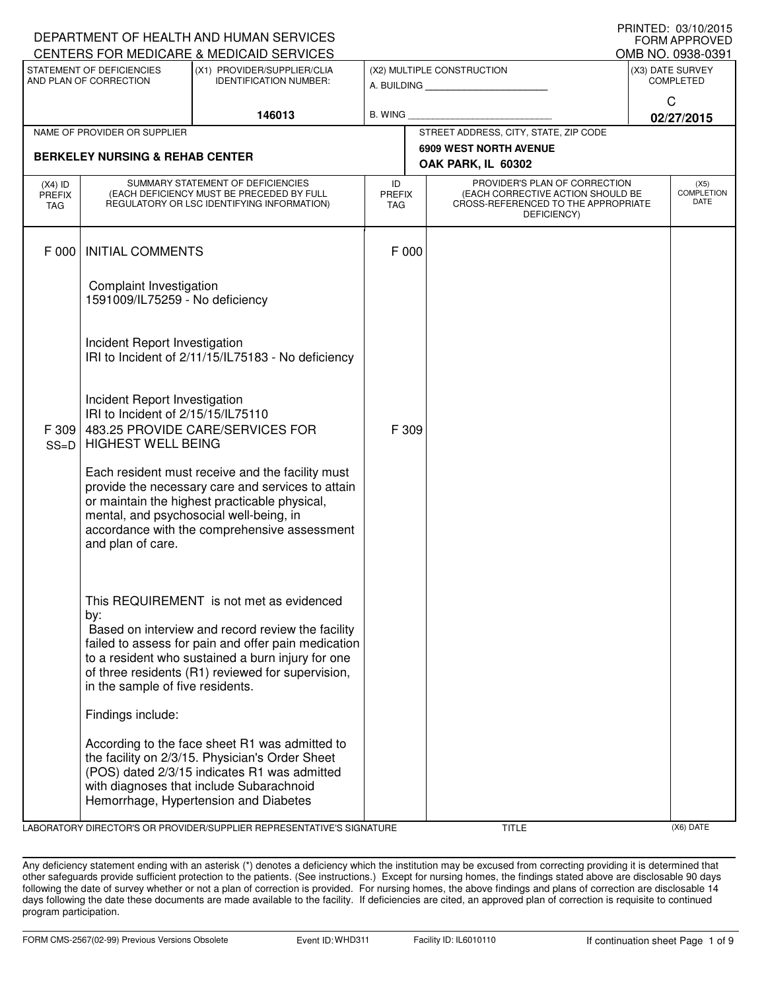|                                                         |                                                                                                  | DEPARTMENT OF HEALTH AND HUMAN SERVICES<br>CENTERS FOR MEDICARE & MEDICAID SERVICES                                                                                                                                                                            |                                   |                                                                                                                          |              | <b>FORM APPROVED</b><br>OMB NO. 0938-0391 |  |
|---------------------------------------------------------|--------------------------------------------------------------------------------------------------|----------------------------------------------------------------------------------------------------------------------------------------------------------------------------------------------------------------------------------------------------------------|-----------------------------------|--------------------------------------------------------------------------------------------------------------------------|--------------|-------------------------------------------|--|
|                                                         | STATEMENT OF DEFICIENCIES                                                                        | (X1) PROVIDER/SUPPLIER/CLIA                                                                                                                                                                                                                                    |                                   | (X2) MULTIPLE CONSTRUCTION                                                                                               |              | (X3) DATE SURVEY                          |  |
| AND PLAN OF CORRECTION<br><b>IDENTIFICATION NUMBER:</b> |                                                                                                  |                                                                                                                                                                                                                                                                |                                   | <b>COMPLETED</b>                                                                                                         |              |                                           |  |
|                                                         |                                                                                                  |                                                                                                                                                                                                                                                                |                                   |                                                                                                                          | $\mathsf{C}$ |                                           |  |
|                                                         |                                                                                                  | 146013                                                                                                                                                                                                                                                         | B. WING                           |                                                                                                                          |              | 02/27/2015                                |  |
|                                                         | NAME OF PROVIDER OR SUPPLIER                                                                     |                                                                                                                                                                                                                                                                |                                   | STREET ADDRESS, CITY, STATE, ZIP CODE<br><b>6909 WEST NORTH AVENUE</b>                                                   |              |                                           |  |
|                                                         | <b>BERKELEY NURSING &amp; REHAB CENTER</b>                                                       |                                                                                                                                                                                                                                                                |                                   | OAK PARK, IL 60302                                                                                                       |              |                                           |  |
| $(X4)$ ID<br>PREFIX<br><b>TAG</b>                       |                                                                                                  | SUMMARY STATEMENT OF DEFICIENCIES<br>(EACH DEFICIENCY MUST BE PRECEDED BY FULL<br>REGULATORY OR LSC IDENTIFYING INFORMATION)                                                                                                                                   | ID<br><b>PREFIX</b><br><b>TAG</b> | PROVIDER'S PLAN OF CORRECTION<br>(EACH CORRECTIVE ACTION SHOULD BE<br>CROSS-REFERENCED TO THE APPROPRIATE<br>DEFICIENCY) |              | (X5)<br><b>COMPLETION</b><br>DATE         |  |
| F 000                                                   | <b>INITIAL COMMENTS</b>                                                                          |                                                                                                                                                                                                                                                                | F 000                             |                                                                                                                          |              |                                           |  |
|                                                         | Complaint Investigation<br>1591009/IL75259 - No deficiency                                       |                                                                                                                                                                                                                                                                |                                   |                                                                                                                          |              |                                           |  |
|                                                         | Incident Report Investigation                                                                    | IRI to Incident of 2/11/15/IL75183 - No deficiency                                                                                                                                                                                                             |                                   |                                                                                                                          |              |                                           |  |
| F 309<br>$SS=D$                                         | Incident Report Investigation<br>IRI to Incident of 2/15/15/IL75110<br><b>HIGHEST WELL BEING</b> | 483.25 PROVIDE CARE/SERVICES FOR                                                                                                                                                                                                                               | F 309                             |                                                                                                                          |              |                                           |  |
|                                                         | and plan of care.                                                                                | Each resident must receive and the facility must<br>provide the necessary care and services to attain<br>or maintain the highest practicable physical,<br>mental, and psychosocial well-being, in<br>accordance with the comprehensive assessment              |                                   |                                                                                                                          |              |                                           |  |
|                                                         | by:<br>in the sample of five residents.                                                          | This REQUIREMENT is not met as evidenced<br>Based on interview and record review the facility<br>failed to assess for pain and offer pain medication<br>to a resident who sustained a burn injury for one<br>of three residents (R1) reviewed for supervision, |                                   |                                                                                                                          |              |                                           |  |
|                                                         | Findings include:                                                                                |                                                                                                                                                                                                                                                                |                                   |                                                                                                                          |              |                                           |  |
|                                                         |                                                                                                  | According to the face sheet R1 was admitted to<br>the facility on 2/3/15. Physician's Order Sheet<br>(POS) dated 2/3/15 indicates R1 was admitted<br>with diagnoses that include Subarachnoid<br>Hemorrhage, Hypertension and Diabetes                         |                                   |                                                                                                                          |              |                                           |  |

LABORATORY DIRECTOR'S OR PROVIDER/SUPPLIER REPRESENTATIVE'S SIGNATURE TITLE (X6) DATE

DEPARTMENT OF HEALTH AND HUMAN SERVICES

PRINTED: 03/10/2015

Any deficiency statement ending with an asterisk (\*) denotes a deficiency which the institution may be excused from correcting providing it is determined that other safeguards provide sufficient protection to the patients. (See instructions.) Except for nursing homes, the findings stated above are disclosable 90 days following the date of survey whether or not a plan of correction is provided. For nursing homes, the above findings and plans of correction are disclosable 14 days following the date these documents are made available to the facility. If deficiencies are cited, an approved plan of correction is requisite to continued program participation.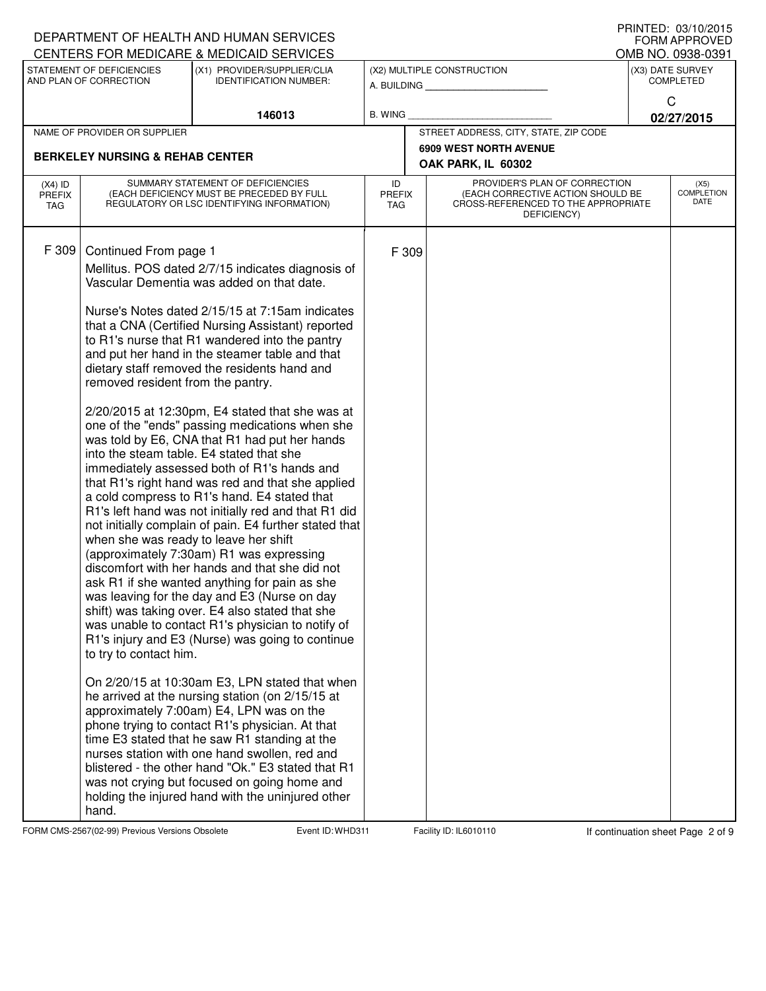|                                            |                                                                                                                               | DEPARTMENT OF HEALTH AND HUMAN SERVICES<br>CENTERS FOR MEDICARE & MEDICAID SERVICES                                                                                                                                                                                                                                                                                                                                                                                                                                                                                                                                                                                                                                                                                                                                                                                                                                                                                                                                                                                                                                                                                                             |                                   |       |                                                                                                                          |                                                                    | U ININILLY. VJ/IV/LVIJ<br><b>FORM APPROVED</b><br>OMB NO. 0938-0391 |
|--------------------------------------------|-------------------------------------------------------------------------------------------------------------------------------|-------------------------------------------------------------------------------------------------------------------------------------------------------------------------------------------------------------------------------------------------------------------------------------------------------------------------------------------------------------------------------------------------------------------------------------------------------------------------------------------------------------------------------------------------------------------------------------------------------------------------------------------------------------------------------------------------------------------------------------------------------------------------------------------------------------------------------------------------------------------------------------------------------------------------------------------------------------------------------------------------------------------------------------------------------------------------------------------------------------------------------------------------------------------------------------------------|-----------------------------------|-------|--------------------------------------------------------------------------------------------------------------------------|--------------------------------------------------------------------|---------------------------------------------------------------------|
|                                            | STATEMENT OF DEFICIENCIES<br>(X1) PROVIDER/SUPPLIER/CLIA<br>AND PLAN OF CORRECTION<br><b>IDENTIFICATION NUMBER:</b><br>146013 |                                                                                                                                                                                                                                                                                                                                                                                                                                                                                                                                                                                                                                                                                                                                                                                                                                                                                                                                                                                                                                                                                                                                                                                                 |                                   |       | (X2) MULTIPLE CONSTRUCTION<br>A. BUILDING                                                                                | (X3) DATE SURVEY<br><b>COMPLETED</b><br>$\mathsf{C}$<br>02/27/2015 |                                                                     |
|                                            |                                                                                                                               |                                                                                                                                                                                                                                                                                                                                                                                                                                                                                                                                                                                                                                                                                                                                                                                                                                                                                                                                                                                                                                                                                                                                                                                                 | <b>B. WING</b>                    |       |                                                                                                                          |                                                                    |                                                                     |
|                                            | NAME OF PROVIDER OR SUPPLIER                                                                                                  |                                                                                                                                                                                                                                                                                                                                                                                                                                                                                                                                                                                                                                                                                                                                                                                                                                                                                                                                                                                                                                                                                                                                                                                                 |                                   |       | STREET ADDRESS, CITY, STATE, ZIP CODE                                                                                    |                                                                    |                                                                     |
| <b>BERKELEY NURSING &amp; REHAB CENTER</b> |                                                                                                                               |                                                                                                                                                                                                                                                                                                                                                                                                                                                                                                                                                                                                                                                                                                                                                                                                                                                                                                                                                                                                                                                                                                                                                                                                 |                                   |       | <b>6909 WEST NORTH AVENUE</b><br>OAK PARK, IL 60302                                                                      |                                                                    |                                                                     |
| $(X4)$ ID<br>PREFIX<br><b>TAG</b>          |                                                                                                                               | SUMMARY STATEMENT OF DEFICIENCIES<br>(EACH DEFICIENCY MUST BE PRECEDED BY FULL<br>REGULATORY OR LSC IDENTIFYING INFORMATION)                                                                                                                                                                                                                                                                                                                                                                                                                                                                                                                                                                                                                                                                                                                                                                                                                                                                                                                                                                                                                                                                    | ID<br><b>PREFIX</b><br><b>TAG</b> |       | PROVIDER'S PLAN OF CORRECTION<br>(EACH CORRECTIVE ACTION SHOULD BE<br>CROSS-REFERENCED TO THE APPROPRIATE<br>DEFICIENCY) |                                                                    | (X5)<br><b>COMPLETION</b><br>DATE                                   |
| F 309                                      | Continued From page 1<br>removed resident from the pantry.<br>when she was ready to leave her shift<br>to try to contact him. | Mellitus. POS dated 2/7/15 indicates diagnosis of<br>Vascular Dementia was added on that date.<br>Nurse's Notes dated 2/15/15 at 7:15am indicates<br>that a CNA (Certified Nursing Assistant) reported<br>to R1's nurse that R1 wandered into the pantry<br>and put her hand in the steamer table and that<br>dietary staff removed the residents hand and<br>$2/20/2015$ at 12:30pm, E4 stated that she was at<br>one of the "ends" passing medications when she<br>was told by E6, CNA that R1 had put her hands<br>into the steam table. E4 stated that she<br>immediately assessed both of R1's hands and<br>that R1's right hand was red and that she applied<br>a cold compress to R1's hand. E4 stated that<br>R1's left hand was not initially red and that R1 did<br>not initially complain of pain. E4 further stated that<br>(approximately 7:30am) R1 was expressing<br>discomfort with her hands and that she did not<br>ask R1 if she wanted anything for pain as she<br>was leaving for the day and E3 (Nurse on day<br>shift) was taking over. E4 also stated that she<br>was unable to contact R1's physician to notify of<br>R1's injury and E3 (Nurse) was going to continue |                                   | F 309 |                                                                                                                          |                                                                    |                                                                     |
|                                            | hand.                                                                                                                         | On 2/20/15 at 10:30am E3, LPN stated that when<br>he arrived at the nursing station (on 2/15/15 at<br>approximately 7:00am) E4, LPN was on the<br>phone trying to contact R1's physician. At that<br>time E3 stated that he saw R1 standing at the<br>nurses station with one hand swollen, red and<br>blistered - the other hand "Ok." E3 stated that R1<br>was not crying but focused on going home and<br>holding the injured hand with the uninjured other                                                                                                                                                                                                                                                                                                                                                                                                                                                                                                                                                                                                                                                                                                                                  |                                   |       |                                                                                                                          |                                                                    |                                                                     |

FORM CMS-2567(02-99) Previous Versions Obsolete Event ID: WHD311 Facility ID: IL6010110 If continuation sheet Page 2 of 9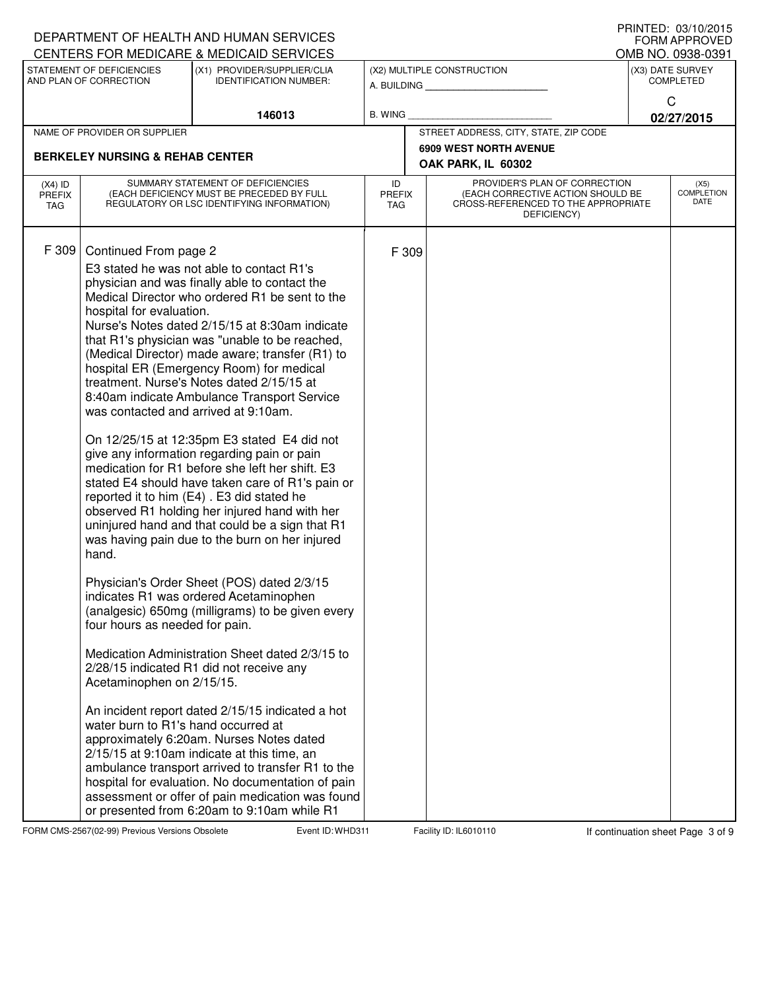|                                                                                                                     |                                                                                                                                                                                                          | DEPARTMENT OF HEALTH AND HUMAN SERVICES<br>CENTERS FOR MEDICARE & MEDICAID SERVICES                                                                                                                                                                                                                                                                                                                                                                                                                                                                                                                                                                                                                                                                                                                                                                                                                                                                                                                                                                                                                                                                                                                                                                                                                                                                                                                                                                        |                            |                                           |                                                                                                                          |                 | FNINIEU. VJIVZVIJ<br><b>FORM APPROVED</b><br>OMB NO. 0938-0391 |
|---------------------------------------------------------------------------------------------------------------------|----------------------------------------------------------------------------------------------------------------------------------------------------------------------------------------------------------|------------------------------------------------------------------------------------------------------------------------------------------------------------------------------------------------------------------------------------------------------------------------------------------------------------------------------------------------------------------------------------------------------------------------------------------------------------------------------------------------------------------------------------------------------------------------------------------------------------------------------------------------------------------------------------------------------------------------------------------------------------------------------------------------------------------------------------------------------------------------------------------------------------------------------------------------------------------------------------------------------------------------------------------------------------------------------------------------------------------------------------------------------------------------------------------------------------------------------------------------------------------------------------------------------------------------------------------------------------------------------------------------------------------------------------------------------------|----------------------------|-------------------------------------------|--------------------------------------------------------------------------------------------------------------------------|-----------------|----------------------------------------------------------------|
| STATEMENT OF DEFICIENCIES<br>(X1) PROVIDER/SUPPLIER/CLIA<br>AND PLAN OF CORRECTION<br><b>IDENTIFICATION NUMBER:</b> |                                                                                                                                                                                                          |                                                                                                                                                                                                                                                                                                                                                                                                                                                                                                                                                                                                                                                                                                                                                                                                                                                                                                                                                                                                                                                                                                                                                                                                                                                                                                                                                                                                                                                            |                            | (X2) MULTIPLE CONSTRUCTION<br>A. BUILDING | (X3) DATE SURVEY<br><b>COMPLETED</b>                                                                                     |                 |                                                                |
| 146013                                                                                                              |                                                                                                                                                                                                          | <b>B. WING</b>                                                                                                                                                                                                                                                                                                                                                                                                                                                                                                                                                                                                                                                                                                                                                                                                                                                                                                                                                                                                                                                                                                                                                                                                                                                                                                                                                                                                                                             |                            |                                           |                                                                                                                          | C<br>02/27/2015 |                                                                |
|                                                                                                                     | NAME OF PROVIDER OR SUPPLIER                                                                                                                                                                             |                                                                                                                                                                                                                                                                                                                                                                                                                                                                                                                                                                                                                                                                                                                                                                                                                                                                                                                                                                                                                                                                                                                                                                                                                                                                                                                                                                                                                                                            |                            |                                           | STREET ADDRESS, CITY, STATE, ZIP CODE                                                                                    |                 |                                                                |
|                                                                                                                     | <b>BERKELEY NURSING &amp; REHAB CENTER</b>                                                                                                                                                               |                                                                                                                                                                                                                                                                                                                                                                                                                                                                                                                                                                                                                                                                                                                                                                                                                                                                                                                                                                                                                                                                                                                                                                                                                                                                                                                                                                                                                                                            |                            |                                           | <b>6909 WEST NORTH AVENUE</b><br>OAK PARK, IL 60302                                                                      |                 |                                                                |
| $(X4)$ ID<br><b>PREFIX</b><br>TAG                                                                                   |                                                                                                                                                                                                          | SUMMARY STATEMENT OF DEFICIENCIES<br>(EACH DEFICIENCY MUST BE PRECEDED BY FULL<br>REGULATORY OR LSC IDENTIFYING INFORMATION)                                                                                                                                                                                                                                                                                                                                                                                                                                                                                                                                                                                                                                                                                                                                                                                                                                                                                                                                                                                                                                                                                                                                                                                                                                                                                                                               | ID<br><b>PREFIX</b><br>TAG |                                           | PROVIDER'S PLAN OF CORRECTION<br>(EACH CORRECTIVE ACTION SHOULD BE<br>CROSS-REFERENCED TO THE APPROPRIATE<br>DEFICIENCY) |                 | (X5)<br><b>COMPLETION</b><br>DATE                              |
| F 309                                                                                                               | Continued From page 2<br>hospital for evaluation.<br>was contacted and arrived at 9:10am.<br>hand.<br>four hours as needed for pain.<br>Acetaminophen on 2/15/15.<br>water burn to R1's hand occurred at | E3 stated he was not able to contact R1's<br>physician and was finally able to contact the<br>Medical Director who ordered R1 be sent to the<br>Nurse's Notes dated 2/15/15 at 8:30am indicate<br>that R1's physician was "unable to be reached,<br>(Medical Director) made aware; transfer (R1) to<br>hospital ER (Emergency Room) for medical<br>treatment. Nurse's Notes dated 2/15/15 at<br>8:40am indicate Ambulance Transport Service<br>On 12/25/15 at 12:35pm E3 stated E4 did not<br>give any information regarding pain or pain<br>medication for R1 before she left her shift. E3<br>stated E4 should have taken care of R1's pain or<br>reported it to him (E4). E3 did stated he<br>observed R1 holding her injured hand with her<br>uninjured hand and that could be a sign that R1<br>was having pain due to the burn on her injured<br>Physician's Order Sheet (POS) dated 2/3/15<br>indicates R1 was ordered Acetaminophen<br>(analgesic) 650mg (milligrams) to be given every<br>Medication Administration Sheet dated 2/3/15 to<br>2/28/15 indicated R1 did not receive any<br>An incident report dated 2/15/15 indicated a hot<br>approximately 6:20am. Nurses Notes dated<br>2/15/15 at 9:10am indicate at this time, an<br>ambulance transport arrived to transfer R1 to the<br>hospital for evaluation. No documentation of pain<br>assessment or offer of pain medication was found<br>or presented from 6:20am to 9:10am while R1 |                            | F 309                                     |                                                                                                                          |                 |                                                                |

FORM CMS-2567(02-99) Previous Versions Obsolete Event ID: WHD311 Facility ID: IL6010110 If continuation sheet Page 3 of 9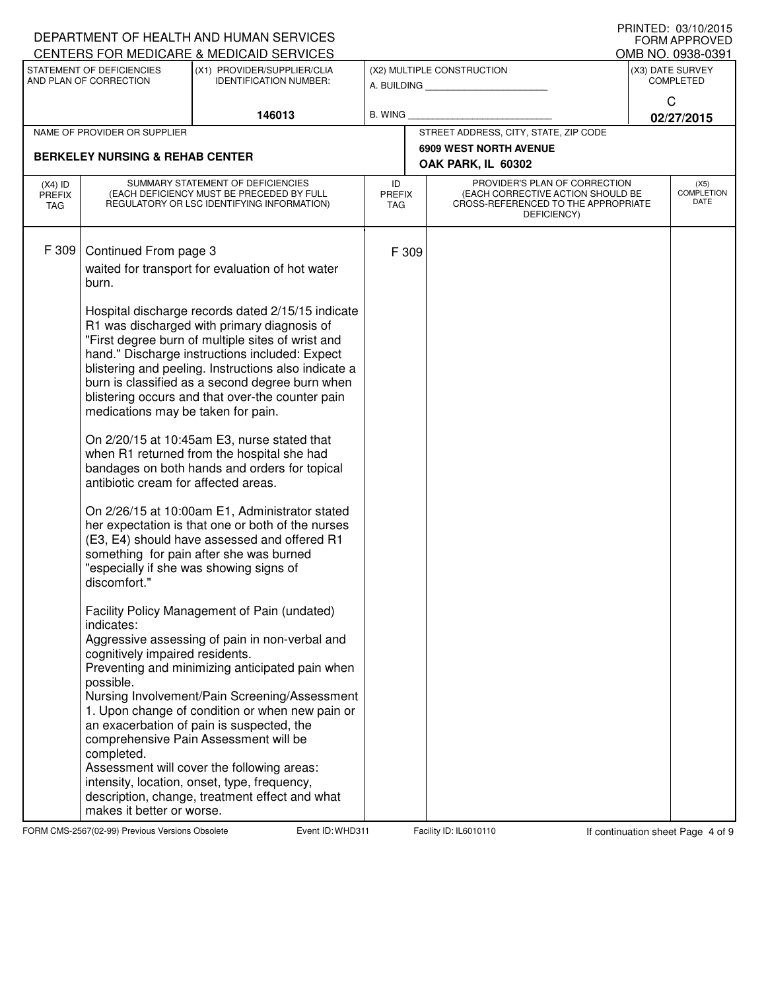|                                    |                                                                                                                                                                                                          | DEPARTMENT OF HEALTH AND HUMAN SERVICES<br>CENTERS FOR MEDICARE & MEDICAID SERVICES                                                                                                                                                                                                                                                                                                                                                                                                                                                                                                                                                                                                                                                                                                                                                                                                                                                                                                                                                                                                                                                                                                                                                                                                                                  |                                   |                                                                                                                          |                                      | PRINTED: 03/10/2015<br><b>FORM APPROVED</b><br>OMB NO. 0938-0391 |  |
|------------------------------------|----------------------------------------------------------------------------------------------------------------------------------------------------------------------------------------------------------|----------------------------------------------------------------------------------------------------------------------------------------------------------------------------------------------------------------------------------------------------------------------------------------------------------------------------------------------------------------------------------------------------------------------------------------------------------------------------------------------------------------------------------------------------------------------------------------------------------------------------------------------------------------------------------------------------------------------------------------------------------------------------------------------------------------------------------------------------------------------------------------------------------------------------------------------------------------------------------------------------------------------------------------------------------------------------------------------------------------------------------------------------------------------------------------------------------------------------------------------------------------------------------------------------------------------|-----------------------------------|--------------------------------------------------------------------------------------------------------------------------|--------------------------------------|------------------------------------------------------------------|--|
|                                    | STATEMENT OF DEFICIENCIES<br>(X1) PROVIDER/SUPPLIER/CLIA<br>AND PLAN OF CORRECTION<br><b>IDENTIFICATION NUMBER:</b>                                                                                      |                                                                                                                                                                                                                                                                                                                                                                                                                                                                                                                                                                                                                                                                                                                                                                                                                                                                                                                                                                                                                                                                                                                                                                                                                                                                                                                      |                                   | (X2) MULTIPLE CONSTRUCTION                                                                                               | (X3) DATE SURVEY<br><b>COMPLETED</b> |                                                                  |  |
|                                    |                                                                                                                                                                                                          | 146013                                                                                                                                                                                                                                                                                                                                                                                                                                                                                                                                                                                                                                                                                                                                                                                                                                                                                                                                                                                                                                                                                                                                                                                                                                                                                                               | <b>B. WING</b>                    |                                                                                                                          |                                      | C<br>02/27/2015                                                  |  |
|                                    | NAME OF PROVIDER OR SUPPLIER                                                                                                                                                                             |                                                                                                                                                                                                                                                                                                                                                                                                                                                                                                                                                                                                                                                                                                                                                                                                                                                                                                                                                                                                                                                                                                                                                                                                                                                                                                                      |                                   | STREET ADDRESS, CITY, STATE, ZIP CODE                                                                                    |                                      |                                                                  |  |
|                                    | <b>BERKELEY NURSING &amp; REHAB CENTER</b>                                                                                                                                                               |                                                                                                                                                                                                                                                                                                                                                                                                                                                                                                                                                                                                                                                                                                                                                                                                                                                                                                                                                                                                                                                                                                                                                                                                                                                                                                                      |                                   | <b>6909 WEST NORTH AVENUE</b><br>OAK PARK, IL 60302                                                                      |                                      |                                                                  |  |
| $(X4)$ ID<br><b>PREFIX</b><br>TAG. |                                                                                                                                                                                                          | SUMMARY STATEMENT OF DEFICIENCIES<br>(EACH DEFICIENCY MUST BE PRECEDED BY FULL<br>REGULATORY OR LSC IDENTIFYING INFORMATION)                                                                                                                                                                                                                                                                                                                                                                                                                                                                                                                                                                                                                                                                                                                                                                                                                                                                                                                                                                                                                                                                                                                                                                                         | ID<br><b>PREFIX</b><br><b>TAG</b> | PROVIDER'S PLAN OF CORRECTION<br>(EACH CORRECTIVE ACTION SHOULD BE<br>CROSS-REFERENCED TO THE APPROPRIATE<br>DEFICIENCY) |                                      | (X5)<br><b>COMPLETION</b><br>DATE                                |  |
| F 309                              | Continued From page 3<br>burn.<br>medications may be taken for pain.<br>antibiotic cream for affected areas.<br>discomfort."<br>indicates:<br>cognitively impaired residents.<br>possible.<br>completed. | waited for transport for evaluation of hot water<br>Hospital discharge records dated 2/15/15 indicate<br>R1 was discharged with primary diagnosis of<br>"First degree burn of multiple sites of wrist and<br>hand." Discharge instructions included: Expect<br>blistering and peeling. Instructions also indicate a<br>burn is classified as a second degree burn when<br>blistering occurs and that over-the counter pain<br>On 2/20/15 at 10:45am E3, nurse stated that<br>when R1 returned from the hospital she had<br>bandages on both hands and orders for topical<br>On 2/26/15 at 10:00am E1, Administrator stated<br>her expectation is that one or both of the nurses<br>(E3, E4) should have assessed and offered R1<br>something for pain after she was burned<br>"especially if she was showing signs of<br>Facility Policy Management of Pain (undated)<br>Aggressive assessing of pain in non-verbal and<br>Preventing and minimizing anticipated pain when<br>Nursing Involvement/Pain Screening/Assessment<br>1. Upon change of condition or when new pain or<br>an exacerbation of pain is suspected, the<br>comprehensive Pain Assessment will be<br>Assessment will cover the following areas:<br>intensity, location, onset, type, frequency,<br>description, change, treatment effect and what | F 309                             |                                                                                                                          |                                      |                                                                  |  |
|                                    | makes it better or worse.                                                                                                                                                                                |                                                                                                                                                                                                                                                                                                                                                                                                                                                                                                                                                                                                                                                                                                                                                                                                                                                                                                                                                                                                                                                                                                                                                                                                                                                                                                                      |                                   |                                                                                                                          |                                      |                                                                  |  |

FORM CMS-2567(02-99) Previous Versions Obsolete Event ID: WHD311 Facility ID: IL6010110 If continuation sheet Page 4 of 9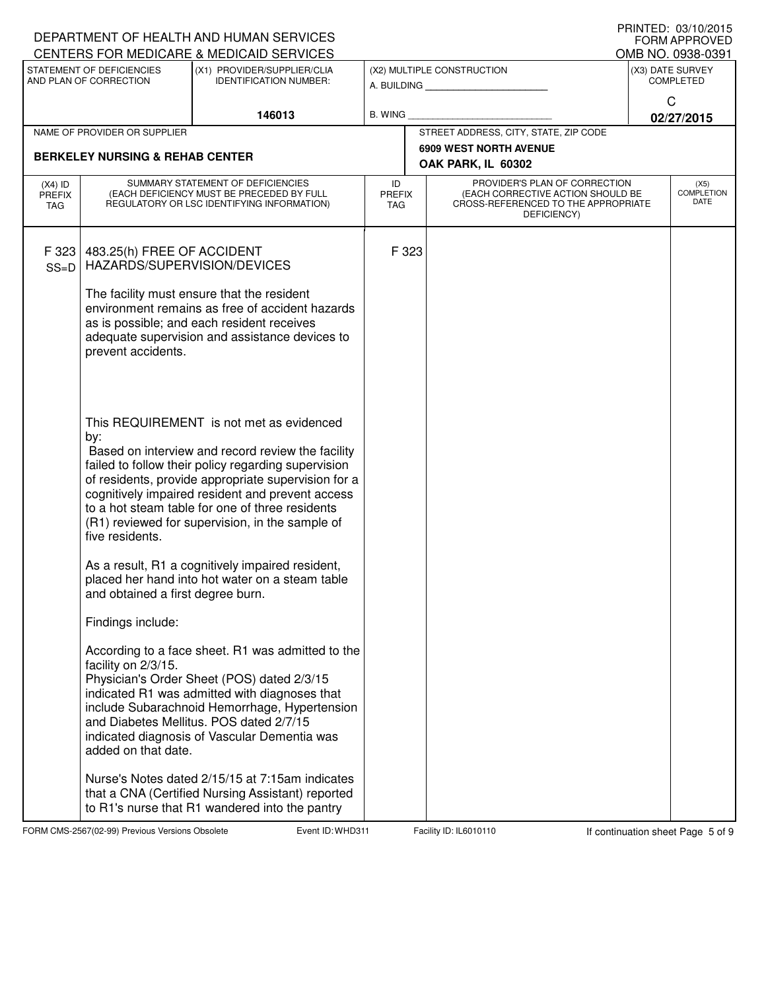|                                                                                                      |                                                         | DEPARTMENT OF HEALTH AND HUMAN SERVICES                                                              |                             |                                                                          |                                       | PRINTED: 03/10/2015<br><b>FORM APPROVED</b> |  |
|------------------------------------------------------------------------------------------------------|---------------------------------------------------------|------------------------------------------------------------------------------------------------------|-----------------------------|--------------------------------------------------------------------------|---------------------------------------|---------------------------------------------|--|
| CENTERS FOR MEDICARE & MEDICAID SERVICES<br>STATEMENT OF DEFICIENCIES<br>(X1) PROVIDER/SUPPLIER/CLIA |                                                         |                                                                                                      |                             | (X2) MULTIPLE CONSTRUCTION                                               | OMB NO. 0938-0391<br>(X3) DATE SURVEY |                                             |  |
|                                                                                                      | AND PLAN OF CORRECTION<br><b>IDENTIFICATION NUMBER:</b> |                                                                                                      |                             | A. BUILDING <b>A.</b> BUILDING                                           | <b>COMPLETED</b>                      |                                             |  |
|                                                                                                      |                                                         |                                                                                                      |                             |                                                                          |                                       | C                                           |  |
|                                                                                                      |                                                         | 146013                                                                                               | <b>B. WING</b>              |                                                                          |                                       | 02/27/2015                                  |  |
|                                                                                                      | NAME OF PROVIDER OR SUPPLIER                            |                                                                                                      |                             | STREET ADDRESS, CITY, STATE, ZIP CODE                                    |                                       |                                             |  |
|                                                                                                      | <b>BERKELEY NURSING &amp; REHAB CENTER</b>              |                                                                                                      |                             | <b>6909 WEST NORTH AVENUE</b>                                            |                                       |                                             |  |
|                                                                                                      |                                                         |                                                                                                      |                             | OAK PARK, IL 60302                                                       |                                       |                                             |  |
| $(X4)$ ID                                                                                            |                                                         | SUMMARY STATEMENT OF DEFICIENCIES                                                                    | ID                          | PROVIDER'S PLAN OF CORRECTION                                            |                                       | (X5)<br><b>COMPLETION</b>                   |  |
| <b>PREFIX</b><br><b>TAG</b>                                                                          |                                                         | (EACH DEFICIENCY MUST BE PRECEDED BY FULL<br>REGULATORY OR LSC IDENTIFYING INFORMATION)              | <b>PREFIX</b><br><b>TAG</b> | (EACH CORRECTIVE ACTION SHOULD BE<br>CROSS-REFERENCED TO THE APPROPRIATE |                                       | DATE                                        |  |
|                                                                                                      |                                                         |                                                                                                      |                             | DEFICIENCY)                                                              |                                       |                                             |  |
|                                                                                                      |                                                         |                                                                                                      |                             |                                                                          |                                       |                                             |  |
| F 323                                                                                                | 483.25(h) FREE OF ACCIDENT                              |                                                                                                      | F 323                       |                                                                          |                                       |                                             |  |
| $SS=D$                                                                                               | HAZARDS/SUPERVISION/DEVICES                             |                                                                                                      |                             |                                                                          |                                       |                                             |  |
|                                                                                                      |                                                         | The facility must ensure that the resident                                                           |                             |                                                                          |                                       |                                             |  |
|                                                                                                      |                                                         | environment remains as free of accident hazards                                                      |                             |                                                                          |                                       |                                             |  |
|                                                                                                      |                                                         | as is possible; and each resident receives                                                           |                             |                                                                          |                                       |                                             |  |
|                                                                                                      |                                                         | adequate supervision and assistance devices to                                                       |                             |                                                                          |                                       |                                             |  |
|                                                                                                      | prevent accidents.                                      |                                                                                                      |                             |                                                                          |                                       |                                             |  |
|                                                                                                      |                                                         |                                                                                                      |                             |                                                                          |                                       |                                             |  |
|                                                                                                      |                                                         |                                                                                                      |                             |                                                                          |                                       |                                             |  |
|                                                                                                      |                                                         |                                                                                                      |                             |                                                                          |                                       |                                             |  |
|                                                                                                      | by:                                                     | This REQUIREMENT is not met as evidenced                                                             |                             |                                                                          |                                       |                                             |  |
|                                                                                                      |                                                         | Based on interview and record review the facility                                                    |                             |                                                                          |                                       |                                             |  |
|                                                                                                      |                                                         | failed to follow their policy regarding supervision                                                  |                             |                                                                          |                                       |                                             |  |
|                                                                                                      |                                                         | of residents, provide appropriate supervision for a                                                  |                             |                                                                          |                                       |                                             |  |
|                                                                                                      |                                                         | cognitively impaired resident and prevent access                                                     |                             |                                                                          |                                       |                                             |  |
|                                                                                                      |                                                         | to a hot steam table for one of three residents<br>(R1) reviewed for supervision, in the sample of   |                             |                                                                          |                                       |                                             |  |
|                                                                                                      | five residents.                                         |                                                                                                      |                             |                                                                          |                                       |                                             |  |
|                                                                                                      |                                                         |                                                                                                      |                             |                                                                          |                                       |                                             |  |
|                                                                                                      |                                                         | As a result, R1 a cognitively impaired resident,                                                     |                             |                                                                          |                                       |                                             |  |
|                                                                                                      |                                                         | placed her hand into hot water on a steam table                                                      |                             |                                                                          |                                       |                                             |  |
|                                                                                                      | and obtained a first degree burn.                       |                                                                                                      |                             |                                                                          |                                       |                                             |  |
|                                                                                                      | Findings include:                                       |                                                                                                      |                             |                                                                          |                                       |                                             |  |
|                                                                                                      |                                                         | According to a face sheet. R1 was admitted to the                                                    |                             |                                                                          |                                       |                                             |  |
|                                                                                                      | facility on 2/3/15.                                     |                                                                                                      |                             |                                                                          |                                       |                                             |  |
|                                                                                                      |                                                         | Physician's Order Sheet (POS) dated 2/3/15                                                           |                             |                                                                          |                                       |                                             |  |
|                                                                                                      |                                                         | indicated R1 was admitted with diagnoses that                                                        |                             |                                                                          |                                       |                                             |  |
|                                                                                                      |                                                         | include Subarachnoid Hemorrhage, Hypertension<br>and Diabetes Mellitus. POS dated 2/7/15             |                             |                                                                          |                                       |                                             |  |
|                                                                                                      |                                                         | indicated diagnosis of Vascular Dementia was                                                         |                             |                                                                          |                                       |                                             |  |
|                                                                                                      | added on that date.                                     |                                                                                                      |                             |                                                                          |                                       |                                             |  |
|                                                                                                      |                                                         |                                                                                                      |                             |                                                                          |                                       |                                             |  |
|                                                                                                      |                                                         | Nurse's Notes dated 2/15/15 at 7:15am indicates<br>that a CNA (Certified Nursing Assistant) reported |                             |                                                                          |                                       |                                             |  |
|                                                                                                      |                                                         | to R1's nurse that R1 wandered into the pantry                                                       |                             |                                                                          |                                       |                                             |  |

FORM CMS-2567(02-99) Previous Versions Obsolete Event ID: WHD311 Facility ID: IL6010110 If continuation sheet Page 5 of 9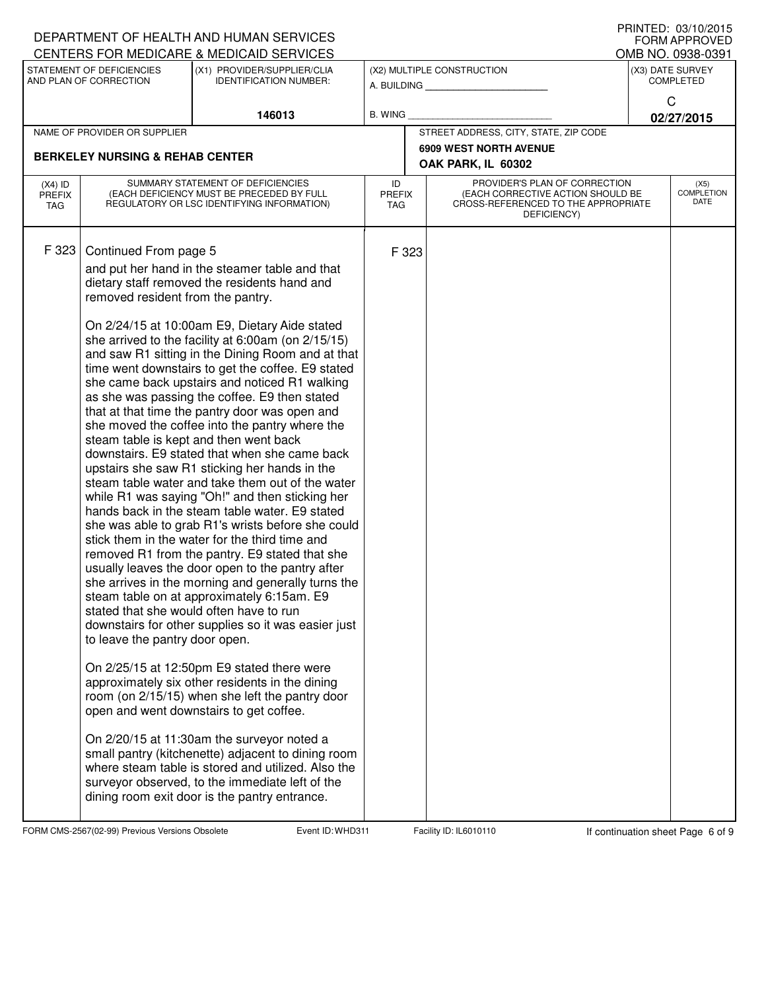|                                                                                                                                |                                                                                                                              | DEPARTMENT OF HEALTH AND HUMAN SERVICES                                                                                                                                                                                                                                                                                                                                                                                                                                                                                                                                                                                                                                                                                                                                                                                                                                                                                                                                                                                                                                                                                                                                                                                                                                                                                                                                                                                                                                                                                                                                                                                                                                                                    |                                   |                                                                                                                          |                                                     |                       | U ININTED. VO/TU/ZVIJ<br>FORM APPROVED   |  |
|--------------------------------------------------------------------------------------------------------------------------------|------------------------------------------------------------------------------------------------------------------------------|------------------------------------------------------------------------------------------------------------------------------------------------------------------------------------------------------------------------------------------------------------------------------------------------------------------------------------------------------------------------------------------------------------------------------------------------------------------------------------------------------------------------------------------------------------------------------------------------------------------------------------------------------------------------------------------------------------------------------------------------------------------------------------------------------------------------------------------------------------------------------------------------------------------------------------------------------------------------------------------------------------------------------------------------------------------------------------------------------------------------------------------------------------------------------------------------------------------------------------------------------------------------------------------------------------------------------------------------------------------------------------------------------------------------------------------------------------------------------------------------------------------------------------------------------------------------------------------------------------------------------------------------------------------------------------------------------------|-----------------------------------|--------------------------------------------------------------------------------------------------------------------------|-----------------------------------------------------|-----------------------|------------------------------------------|--|
| CENTERS FOR MEDICARE & MEDICAID SERVICES<br>STATEMENT OF DEFICIENCIES<br>(X1) PROVIDER/SUPPLIER/CLIA<br>AND PLAN OF CORRECTION |                                                                                                                              |                                                                                                                                                                                                                                                                                                                                                                                                                                                                                                                                                                                                                                                                                                                                                                                                                                                                                                                                                                                                                                                                                                                                                                                                                                                                                                                                                                                                                                                                                                                                                                                                                                                                                                            |                                   | (X2) MULTIPLE CONSTRUCTION                                                                                               | OMB NO. 0938-0391<br>(X3) DATE SURVEY               |                       |                                          |  |
|                                                                                                                                |                                                                                                                              | <b>IDENTIFICATION NUMBER:</b>                                                                                                                                                                                                                                                                                                                                                                                                                                                                                                                                                                                                                                                                                                                                                                                                                                                                                                                                                                                                                                                                                                                                                                                                                                                                                                                                                                                                                                                                                                                                                                                                                                                                              |                                   |                                                                                                                          | A. BUILDING                                         | <b>COMPLETED</b><br>C |                                          |  |
|                                                                                                                                |                                                                                                                              | 146013                                                                                                                                                                                                                                                                                                                                                                                                                                                                                                                                                                                                                                                                                                                                                                                                                                                                                                                                                                                                                                                                                                                                                                                                                                                                                                                                                                                                                                                                                                                                                                                                                                                                                                     | <b>B. WING</b>                    |                                                                                                                          |                                                     |                       | 02/27/2015                               |  |
|                                                                                                                                | NAME OF PROVIDER OR SUPPLIER                                                                                                 |                                                                                                                                                                                                                                                                                                                                                                                                                                                                                                                                                                                                                                                                                                                                                                                                                                                                                                                                                                                                                                                                                                                                                                                                                                                                                                                                                                                                                                                                                                                                                                                                                                                                                                            |                                   |                                                                                                                          | STREET ADDRESS, CITY, STATE, ZIP CODE               |                       |                                          |  |
|                                                                                                                                | <b>BERKELEY NURSING &amp; REHAB CENTER</b>                                                                                   |                                                                                                                                                                                                                                                                                                                                                                                                                                                                                                                                                                                                                                                                                                                                                                                                                                                                                                                                                                                                                                                                                                                                                                                                                                                                                                                                                                                                                                                                                                                                                                                                                                                                                                            |                                   |                                                                                                                          | <b>6909 WEST NORTH AVENUE</b><br>OAK PARK, IL 60302 |                       |                                          |  |
| $(X4)$ ID<br><b>PREFIX</b><br>TAG                                                                                              | SUMMARY STATEMENT OF DEFICIENCIES<br>(EACH DEFICIENCY MUST BE PRECEDED BY FULL<br>REGULATORY OR LSC IDENTIFYING INFORMATION) |                                                                                                                                                                                                                                                                                                                                                                                                                                                                                                                                                                                                                                                                                                                                                                                                                                                                                                                                                                                                                                                                                                                                                                                                                                                                                                                                                                                                                                                                                                                                                                                                                                                                                                            | ID<br><b>PREFIX</b><br><b>TAG</b> | PROVIDER'S PLAN OF CORRECTION<br>(EACH CORRECTIVE ACTION SHOULD BE<br>CROSS-REFERENCED TO THE APPROPRIATE<br>DEFICIENCY) |                                                     |                       | (X5)<br><b>COMPLETION</b><br><b>DATE</b> |  |
| F 323                                                                                                                          | Continued From page 5<br>removed resident from the pantry.<br>to leave the pantry door open.                                 | and put her hand in the steamer table and that<br>dietary staff removed the residents hand and<br>On 2/24/15 at 10:00am E9, Dietary Aide stated<br>she arrived to the facility at 6:00am (on 2/15/15)<br>and saw R1 sitting in the Dining Room and at that<br>time went downstairs to get the coffee. E9 stated<br>she came back upstairs and noticed R1 walking<br>as she was passing the coffee. E9 then stated<br>that at that time the pantry door was open and<br>she moved the coffee into the pantry where the<br>steam table is kept and then went back<br>downstairs. E9 stated that when she came back<br>upstairs she saw R1 sticking her hands in the<br>steam table water and take them out of the water<br>while R1 was saying "Oh!" and then sticking her<br>hands back in the steam table water. E9 stated<br>she was able to grab R1's wrists before she could<br>stick them in the water for the third time and<br>removed R1 from the pantry. E9 stated that she<br>usually leaves the door open to the pantry after<br>she arrives in the morning and generally turns the<br>steam table on at approximately 6:15am. E9<br>stated that she would often have to run<br>downstairs for other supplies so it was easier just<br>On 2/25/15 at 12:50pm E9 stated there were<br>approximately six other residents in the dining<br>room (on 2/15/15) when she left the pantry door<br>open and went downstairs to get coffee.<br>On 2/20/15 at 11:30am the surveyor noted a<br>small pantry (kitchenette) adjacent to dining room<br>where steam table is stored and utilized. Also the<br>surveyor observed, to the immediate left of the<br>dining room exit door is the pantry entrance. |                                   | F 323                                                                                                                    |                                                     |                       |                                          |  |

FORM CMS-2567(02-99) Previous Versions Obsolete Event ID: WHD311 Facility ID: IL6010110 If continuation sheet Page 6 of 9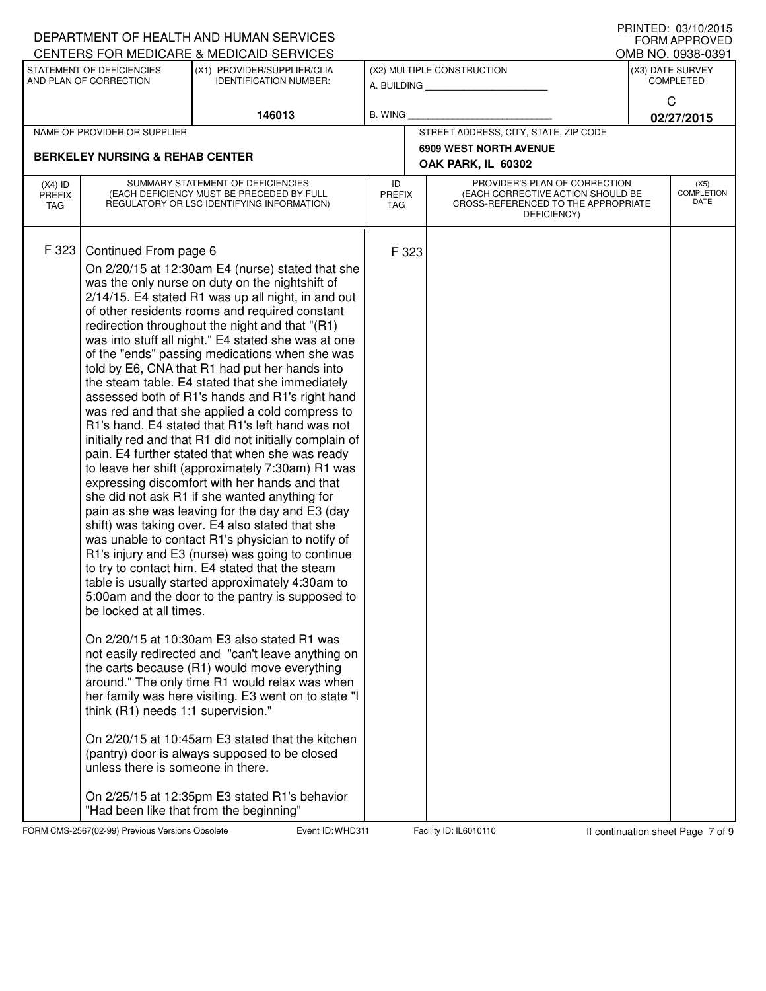|                                                                                                                     |                                                                                                                             | DEPARTMENT OF HEALTH AND HUMAN SERVICES<br>CENTERS FOR MEDICARE & MEDICAID SERVICES                                                                                                                                                                                                                                                                                                                                                                                                                                                                                                                                                                                                                                                                                                                                                                                                                                                                                                                                                                                                                                                                                                                                                                                                                                                                                                                                                                                                                                                                                                                                                                                                                                                                  |                            |                                           |                                                                                                                          |  | FRIIVIEU. VJ/IV/ZVIJ<br><b>FORM APPROVED</b><br>OMB NO. 0938-0391 |
|---------------------------------------------------------------------------------------------------------------------|-----------------------------------------------------------------------------------------------------------------------------|------------------------------------------------------------------------------------------------------------------------------------------------------------------------------------------------------------------------------------------------------------------------------------------------------------------------------------------------------------------------------------------------------------------------------------------------------------------------------------------------------------------------------------------------------------------------------------------------------------------------------------------------------------------------------------------------------------------------------------------------------------------------------------------------------------------------------------------------------------------------------------------------------------------------------------------------------------------------------------------------------------------------------------------------------------------------------------------------------------------------------------------------------------------------------------------------------------------------------------------------------------------------------------------------------------------------------------------------------------------------------------------------------------------------------------------------------------------------------------------------------------------------------------------------------------------------------------------------------------------------------------------------------------------------------------------------------------------------------------------------------|----------------------------|-------------------------------------------|--------------------------------------------------------------------------------------------------------------------------|--|-------------------------------------------------------------------|
| STATEMENT OF DEFICIENCIES<br>(X1) PROVIDER/SUPPLIER/CLIA<br>AND PLAN OF CORRECTION<br><b>IDENTIFICATION NUMBER:</b> |                                                                                                                             |                                                                                                                                                                                                                                                                                                                                                                                                                                                                                                                                                                                                                                                                                                                                                                                                                                                                                                                                                                                                                                                                                                                                                                                                                                                                                                                                                                                                                                                                                                                                                                                                                                                                                                                                                      |                            | (X2) MULTIPLE CONSTRUCTION<br>A. BUILDING | (X3) DATE SURVEY<br><b>COMPLETED</b>                                                                                     |  |                                                                   |
| 146013                                                                                                              |                                                                                                                             | <b>B. WING</b>                                                                                                                                                                                                                                                                                                                                                                                                                                                                                                                                                                                                                                                                                                                                                                                                                                                                                                                                                                                                                                                                                                                                                                                                                                                                                                                                                                                                                                                                                                                                                                                                                                                                                                                                       |                            |                                           | C<br>02/27/2015                                                                                                          |  |                                                                   |
|                                                                                                                     | NAME OF PROVIDER OR SUPPLIER                                                                                                |                                                                                                                                                                                                                                                                                                                                                                                                                                                                                                                                                                                                                                                                                                                                                                                                                                                                                                                                                                                                                                                                                                                                                                                                                                                                                                                                                                                                                                                                                                                                                                                                                                                                                                                                                      |                            |                                           | STREET ADDRESS, CITY, STATE, ZIP CODE                                                                                    |  |                                                                   |
|                                                                                                                     |                                                                                                                             |                                                                                                                                                                                                                                                                                                                                                                                                                                                                                                                                                                                                                                                                                                                                                                                                                                                                                                                                                                                                                                                                                                                                                                                                                                                                                                                                                                                                                                                                                                                                                                                                                                                                                                                                                      |                            |                                           | <b>6909 WEST NORTH AVENUE</b>                                                                                            |  |                                                                   |
|                                                                                                                     | <b>BERKELEY NURSING &amp; REHAB CENTER</b>                                                                                  |                                                                                                                                                                                                                                                                                                                                                                                                                                                                                                                                                                                                                                                                                                                                                                                                                                                                                                                                                                                                                                                                                                                                                                                                                                                                                                                                                                                                                                                                                                                                                                                                                                                                                                                                                      |                            |                                           | OAK PARK, IL 60302                                                                                                       |  |                                                                   |
| $(X4)$ ID<br><b>PREFIX</b><br>TAG                                                                                   |                                                                                                                             | SUMMARY STATEMENT OF DEFICIENCIES<br>(EACH DEFICIENCY MUST BE PRECEDED BY FULL<br>REGULATORY OR LSC IDENTIFYING INFORMATION)                                                                                                                                                                                                                                                                                                                                                                                                                                                                                                                                                                                                                                                                                                                                                                                                                                                                                                                                                                                                                                                                                                                                                                                                                                                                                                                                                                                                                                                                                                                                                                                                                         | ID<br><b>PREFIX</b><br>TAG |                                           | PROVIDER'S PLAN OF CORRECTION<br>(EACH CORRECTIVE ACTION SHOULD BE<br>CROSS-REFERENCED TO THE APPROPRIATE<br>DEFICIENCY) |  | (X5)<br><b>COMPLETION</b><br>DATE                                 |
| F 323                                                                                                               | Continued From page 6<br>be locked at all times.<br>think (R1) needs 1:1 supervision."<br>unless there is someone in there. | On 2/20/15 at 12:30am E4 (nurse) stated that she<br>was the only nurse on duty on the nightshift of<br>2/14/15. E4 stated R1 was up all night, in and out<br>of other residents rooms and required constant<br>redirection throughout the night and that "(R1)<br>was into stuff all night." E4 stated she was at one<br>of the "ends" passing medications when she was<br>told by E6, CNA that R1 had put her hands into<br>the steam table. E4 stated that she immediately<br>assessed both of R1's hands and R1's right hand<br>was red and that she applied a cold compress to<br>R1's hand. E4 stated that R1's left hand was not<br>initially red and that R1 did not initially complain of<br>pain. E4 further stated that when she was ready<br>to leave her shift (approximately 7:30am) R1 was<br>expressing discomfort with her hands and that<br>she did not ask R1 if she wanted anything for<br>pain as she was leaving for the day and E3 (day<br>shift) was taking over. E4 also stated that she<br>was unable to contact R1's physician to notify of<br>R1's injury and E3 (nurse) was going to continue<br>to try to contact him. E4 stated that the steam<br>table is usually started approximately 4:30am to<br>5:00am and the door to the pantry is supposed to<br>On 2/20/15 at 10:30am E3 also stated R1 was<br>not easily redirected and "can't leave anything on<br>the carts because (R1) would move everything<br>around." The only time R1 would relax was when<br>her family was here visiting. E3 went on to state "I<br>On 2/20/15 at 10:45am E3 stated that the kitchen<br>(pantry) door is always supposed to be closed<br>On 2/25/15 at 12:35pm E3 stated R1's behavior<br>"Had been like that from the beginning" |                            | F 323                                     |                                                                                                                          |  |                                                                   |

FORM CMS-2567(02-99) Previous Versions Obsolete Event ID: WHD311 Facility ID: IL6010110 If continuation sheet Page 7 of 9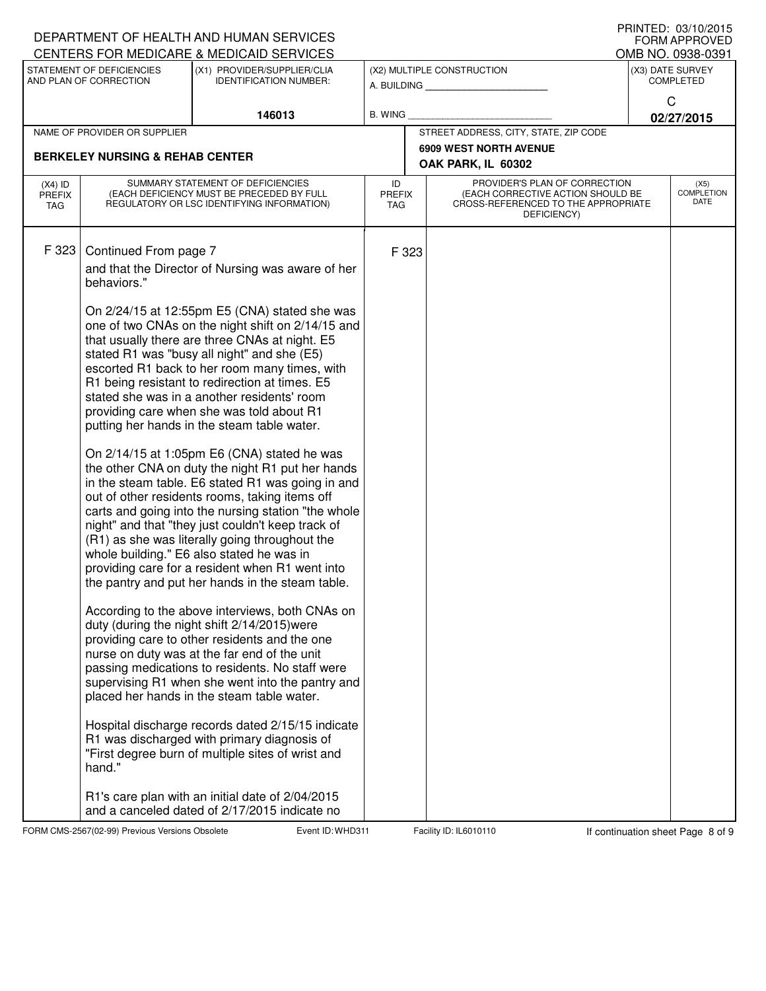|                                            |                                                                                                                                                 | DEPARTMENT OF HEALTH AND HUMAN SERVICES<br>CENTERS FOR MEDICARE & MEDICAID SERVICES                                                                                                                                                                                                                                                                                                                                                                                                                                                                                                                                                                                                                                                                                                                                                                                                                                                                                                                                                                                                                                                                                                                                                                                                                                                                                                                                                                                                                                                                  |                            |  |                                                                                                                          |                                      | FRIIVIEU. VJ/IV/ZVIJ<br><b>FORM APPROVED</b><br>OMB NO. 0938-0391 |  |
|--------------------------------------------|-------------------------------------------------------------------------------------------------------------------------------------------------|------------------------------------------------------------------------------------------------------------------------------------------------------------------------------------------------------------------------------------------------------------------------------------------------------------------------------------------------------------------------------------------------------------------------------------------------------------------------------------------------------------------------------------------------------------------------------------------------------------------------------------------------------------------------------------------------------------------------------------------------------------------------------------------------------------------------------------------------------------------------------------------------------------------------------------------------------------------------------------------------------------------------------------------------------------------------------------------------------------------------------------------------------------------------------------------------------------------------------------------------------------------------------------------------------------------------------------------------------------------------------------------------------------------------------------------------------------------------------------------------------------------------------------------------------|----------------------------|--|--------------------------------------------------------------------------------------------------------------------------|--------------------------------------|-------------------------------------------------------------------|--|
|                                            | STATEMENT OF DEFICIENCIES<br>(X1) PROVIDER/SUPPLIER/CLIA<br>AND PLAN OF CORRECTION<br><b>IDENTIFICATION NUMBER:</b><br>146013<br><b>B. WING</b> |                                                                                                                                                                                                                                                                                                                                                                                                                                                                                                                                                                                                                                                                                                                                                                                                                                                                                                                                                                                                                                                                                                                                                                                                                                                                                                                                                                                                                                                                                                                                                      |                            |  | (X2) MULTIPLE CONSTRUCTION<br>A. BUILDING                                                                                | (X3) DATE SURVEY<br><b>COMPLETED</b> |                                                                   |  |
|                                            |                                                                                                                                                 |                                                                                                                                                                                                                                                                                                                                                                                                                                                                                                                                                                                                                                                                                                                                                                                                                                                                                                                                                                                                                                                                                                                                                                                                                                                                                                                                                                                                                                                                                                                                                      |                            |  | C<br>02/27/2015                                                                                                          |                                      |                                                                   |  |
|                                            | NAME OF PROVIDER OR SUPPLIER                                                                                                                    |                                                                                                                                                                                                                                                                                                                                                                                                                                                                                                                                                                                                                                                                                                                                                                                                                                                                                                                                                                                                                                                                                                                                                                                                                                                                                                                                                                                                                                                                                                                                                      |                            |  | STREET ADDRESS, CITY, STATE, ZIP CODE                                                                                    |                                      |                                                                   |  |
| <b>BERKELEY NURSING &amp; REHAB CENTER</b> |                                                                                                                                                 |                                                                                                                                                                                                                                                                                                                                                                                                                                                                                                                                                                                                                                                                                                                                                                                                                                                                                                                                                                                                                                                                                                                                                                                                                                                                                                                                                                                                                                                                                                                                                      |                            |  | <b>6909 WEST NORTH AVENUE</b><br>OAK PARK, IL 60302                                                                      |                                      |                                                                   |  |
| $(X4)$ ID<br><b>PREFIX</b><br>TAG          |                                                                                                                                                 | SUMMARY STATEMENT OF DEFICIENCIES<br>(EACH DEFICIENCY MUST BE PRECEDED BY FULL<br>REGULATORY OR LSC IDENTIFYING INFORMATION)                                                                                                                                                                                                                                                                                                                                                                                                                                                                                                                                                                                                                                                                                                                                                                                                                                                                                                                                                                                                                                                                                                                                                                                                                                                                                                                                                                                                                         | ID<br><b>PREFIX</b><br>TAG |  | PROVIDER'S PLAN OF CORRECTION<br>(EACH CORRECTIVE ACTION SHOULD BE<br>CROSS-REFERENCED TO THE APPROPRIATE<br>DEFICIENCY) |                                      | (X5)<br>COMPLETION<br><b>DATE</b>                                 |  |
| F 323                                      | Continued From page 7<br>behaviors."<br>hand."                                                                                                  | and that the Director of Nursing was aware of her<br>On 2/24/15 at 12:55pm E5 (CNA) stated she was<br>one of two CNAs on the night shift on 2/14/15 and<br>that usually there are three CNAs at night. E5<br>stated R1 was "busy all night" and she (E5)<br>escorted R1 back to her room many times, with<br>R1 being resistant to redirection at times. E5<br>stated she was in a another residents' room<br>providing care when she was told about R1<br>putting her hands in the steam table water.<br>On 2/14/15 at 1:05pm E6 (CNA) stated he was<br>the other CNA on duty the night R1 put her hands<br>in the steam table. E6 stated R1 was going in and<br>out of other residents rooms, taking items off<br>carts and going into the nursing station "the whole<br>night" and that "they just couldn't keep track of<br>(R1) as she was literally going throughout the<br>whole building." E6 also stated he was in<br>providing care for a resident when R1 went into<br>the pantry and put her hands in the steam table.<br>According to the above interviews, both CNAs on<br>duty (during the night shift 2/14/2015) were<br>providing care to other residents and the one<br>nurse on duty was at the far end of the unit<br>passing medications to residents. No staff were<br>supervising R1 when she went into the pantry and<br>placed her hands in the steam table water.<br>Hospital discharge records dated 2/15/15 indicate<br>R1 was discharged with primary diagnosis of<br>"First degree burn of multiple sites of wrist and | F 323                      |  |                                                                                                                          |                                      |                                                                   |  |
|                                            |                                                                                                                                                 | R1's care plan with an initial date of 2/04/2015<br>and a canceled dated of 2/17/2015 indicate no                                                                                                                                                                                                                                                                                                                                                                                                                                                                                                                                                                                                                                                                                                                                                                                                                                                                                                                                                                                                                                                                                                                                                                                                                                                                                                                                                                                                                                                    |                            |  |                                                                                                                          |                                      |                                                                   |  |

FORM CMS-2567(02-99) Previous Versions Obsolete Event ID: WHD311 Facility ID: IL6010110 If continuation sheet Page 8 of 9